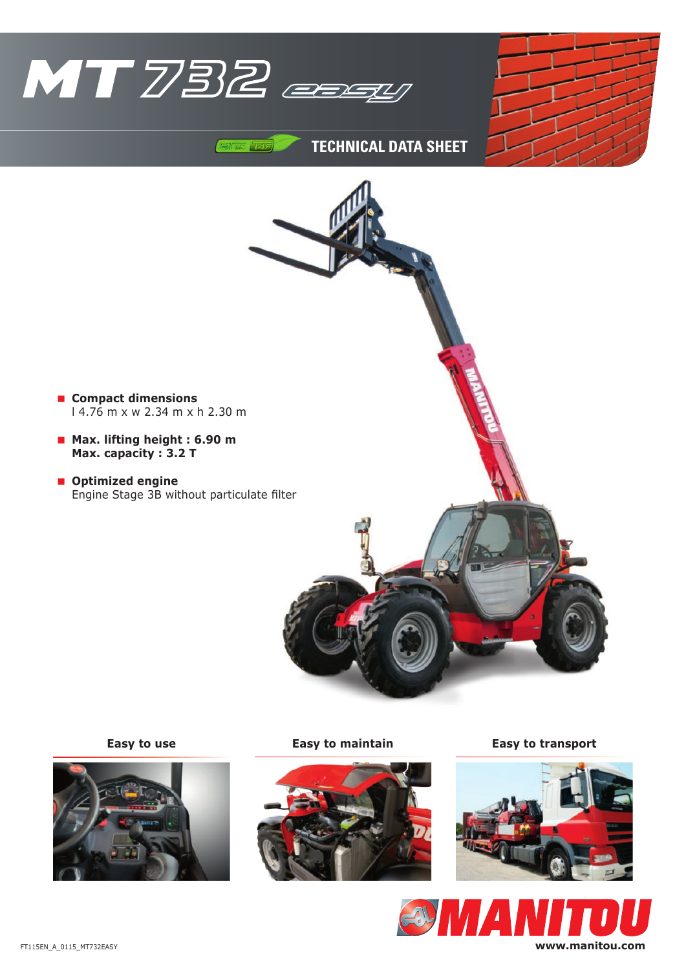

 $74F$ 





**TECHNICAL DATA SHEET**

**Compact dimensions**

**Optimized engine**

 **Max. lifting height : 6.90 m Max. capacity : 3.2 T**





**Easy to use Easy to maintain Easy to transport**